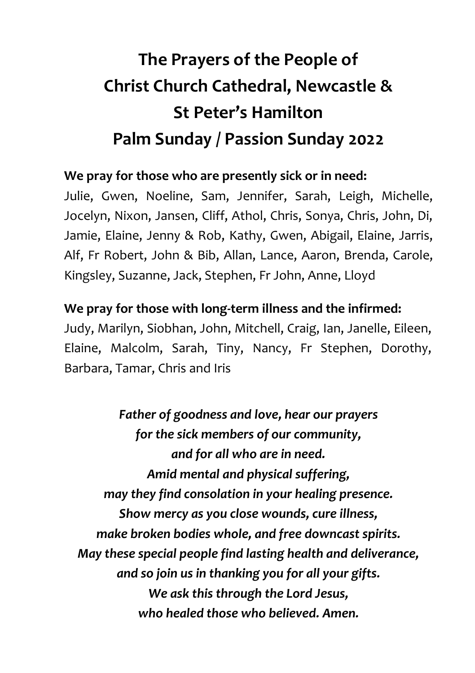## **The Prayers of the People of Christ Church Cathedral, Newcastle & St Peter's Hamilton Palm Sunday / Passion Sunday 2022**

## **We pray for those who are presently sick or in need:**

Julie, Gwen, Noeline, Sam, Jennifer, Sarah, Leigh, Michelle, Jocelyn, Nixon, Jansen, Cliff, Athol, Chris, Sonya, Chris, John, Di, Jamie, Elaine, Jenny & Rob, Kathy, Gwen, Abigail, Elaine, Jarris, Alf, Fr Robert, John & Bib, Allan, Lance, Aaron, Brenda, Carole, Kingsley, Suzanne, Jack, Stephen, Fr John, Anne, Lloyd

## **We pray for those with long-term illness and the infirmed:**

Judy, Marilyn, Siobhan, John, Mitchell, Craig, Ian, Janelle, Eileen, Elaine, Malcolm, Sarah, Tiny, Nancy, Fr Stephen, Dorothy, Barbara, Tamar, Chris and Iris

*Father of goodness and love, hear our prayers for the sick members of our community, and for all who are in need. Amid mental and physical suffering, may they find consolation in your healing presence. Show mercy as you close wounds, cure illness, make broken bodies whole, and free downcast spirits. May these special people find lasting health and deliverance, and so join us in thanking you for all your gifts. We ask this through the Lord Jesus, who healed those who believed. Amen.*